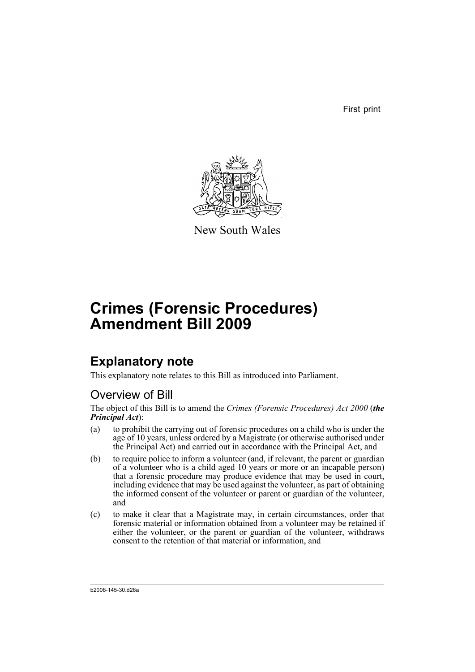First print



New South Wales

# **Crimes (Forensic Procedures) Amendment Bill 2009**

# **Explanatory note**

This explanatory note relates to this Bill as introduced into Parliament.

## Overview of Bill

The object of this Bill is to amend the *Crimes (Forensic Procedures) Act 2000* (*the Principal Act*):

- (a) to prohibit the carrying out of forensic procedures on a child who is under the age of 10 years, unless ordered by a Magistrate (or otherwise authorised under the Principal Act) and carried out in accordance with the Principal Act, and
- (b) to require police to inform a volunteer (and, if relevant, the parent or guardian of a volunteer who is a child aged 10 years or more or an incapable person) that a forensic procedure may produce evidence that may be used in court, including evidence that may be used against the volunteer, as part of obtaining the informed consent of the volunteer or parent or guardian of the volunteer, and
- (c) to make it clear that a Magistrate may, in certain circumstances, order that forensic material or information obtained from a volunteer may be retained if either the volunteer, or the parent or guardian of the volunteer, withdraws consent to the retention of that material or information, and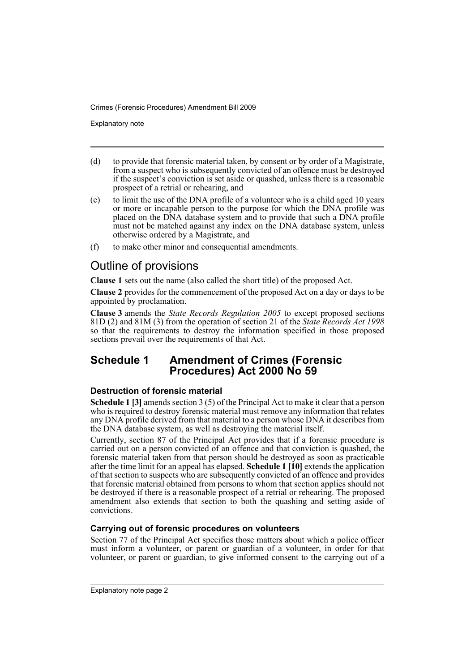Explanatory note

- (d) to provide that forensic material taken, by consent or by order of a Magistrate, from a suspect who is subsequently convicted of an offence must be destroyed if the suspect's conviction is set aside or quashed, unless there is a reasonable prospect of a retrial or rehearing, and
- (e) to limit the use of the DNA profile of a volunteer who is a child aged 10 years or more or incapable person to the purpose for which the DNA profile was placed on the DNA database system and to provide that such a DNA profile must not be matched against any index on the DNA database system, unless otherwise ordered by a Magistrate, and
- (f) to make other minor and consequential amendments.

## Outline of provisions

**Clause 1** sets out the name (also called the short title) of the proposed Act.

**Clause 2** provides for the commencement of the proposed Act on a day or days to be appointed by proclamation.

**Clause 3** amends the *State Records Regulation 2005* to except proposed sections 81D (2) and 81M (3) from the operation of section 21 of the *State Records Act 1998* so that the requirements to destroy the information specified in those proposed sections prevail over the requirements of that Act.

## **Schedule 1 Amendment of Crimes (Forensic Procedures) Act 2000 No 59**

## **Destruction of forensic material**

**Schedule 1 [3]** amends section 3 (5) of the Principal Act to make it clear that a person who is required to destroy forensic material must remove any information that relates any DNA profile derived from that material to a person whose DNA it describes from the DNA database system, as well as destroying the material itself.

Currently, section 87 of the Principal Act provides that if a forensic procedure is carried out on a person convicted of an offence and that conviction is quashed, the forensic material taken from that person should be destroyed as soon as practicable after the time limit for an appeal has elapsed. **Schedule 1 [10]** extends the application of that section to suspects who are subsequently convicted of an offence and provides that forensic material obtained from persons to whom that section applies should not be destroyed if there is a reasonable prospect of a retrial or rehearing. The proposed amendment also extends that section to both the quashing and setting aside of convictions.

## **Carrying out of forensic procedures on volunteers**

Section 77 of the Principal Act specifies those matters about which a police officer must inform a volunteer, or parent or guardian of a volunteer, in order for that volunteer, or parent or guardian, to give informed consent to the carrying out of a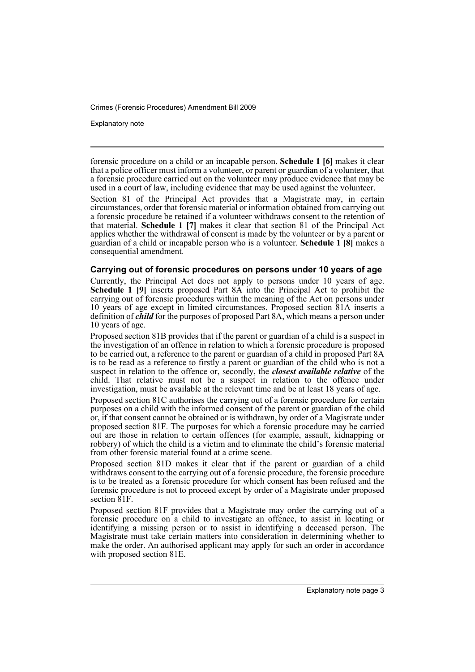Explanatory note

forensic procedure on a child or an incapable person. **Schedule 1 [6]** makes it clear that a police officer must inform a volunteer, or parent or guardian of a volunteer, that a forensic procedure carried out on the volunteer may produce evidence that may be used in a court of law, including evidence that may be used against the volunteer.

Section 81 of the Principal Act provides that a Magistrate may, in certain circumstances, order that forensic material or information obtained from carrying out a forensic procedure be retained if a volunteer withdraws consent to the retention of that material. **Schedule 1 [7]** makes it clear that section 81 of the Principal Act applies whether the withdrawal of consent is made by the volunteer or by a parent or guardian of a child or incapable person who is a volunteer. **Schedule 1 [8]** makes a consequential amendment.

### **Carrying out of forensic procedures on persons under 10 years of age**

Currently, the Principal Act does not apply to persons under 10 years of age. **Schedule 1 [9]** inserts proposed Part 8A into the Principal Act to prohibit the carrying out of forensic procedures within the meaning of the Act on persons under 10 years of age except in limited circumstances. Proposed section 81A inserts a definition of *child* for the purposes of proposed Part 8A, which means a person under 10 years of age.

Proposed section 81B provides that if the parent or guardian of a child is a suspect in the investigation of an offence in relation to which a forensic procedure is proposed to be carried out, a reference to the parent or guardian of a child in proposed Part 8A is to be read as a reference to firstly a parent or guardian of the child who is not a suspect in relation to the offence or, secondly, the *closest available relative* of the child. That relative must not be a suspect in relation to the offence under investigation, must be available at the relevant time and be at least 18 years of age.

Proposed section 81C authorises the carrying out of a forensic procedure for certain purposes on a child with the informed consent of the parent or guardian of the child or, if that consent cannot be obtained or is withdrawn, by order of a Magistrate under proposed section 81F. The purposes for which a forensic procedure may be carried out are those in relation to certain offences (for example, assault, kidnapping or robbery) of which the child is a victim and to eliminate the child's forensic material from other forensic material found at a crime scene.

Proposed section 81D makes it clear that if the parent or guardian of a child withdraws consent to the carrying out of a forensic procedure, the forensic procedure is to be treated as a forensic procedure for which consent has been refused and the forensic procedure is not to proceed except by order of a Magistrate under proposed section 81F.

Proposed section 81F provides that a Magistrate may order the carrying out of a forensic procedure on a child to investigate an offence, to assist in locating or identifying a missing person or to assist in identifying a deceased person. The Magistrate must take certain matters into consideration in determining whether to make the order. An authorised applicant may apply for such an order in accordance with proposed section 81E.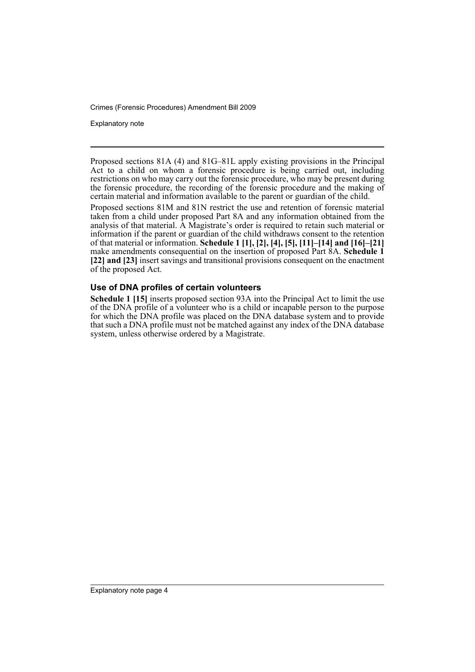Explanatory note

Proposed sections 81A (4) and 81G–81L apply existing provisions in the Principal Act to a child on whom a forensic procedure is being carried out, including restrictions on who may carry out the forensic procedure, who may be present during the forensic procedure, the recording of the forensic procedure and the making of certain material and information available to the parent or guardian of the child.

Proposed sections 81M and 81N restrict the use and retention of forensic material taken from a child under proposed Part 8A and any information obtained from the analysis of that material. A Magistrate's order is required to retain such material or information if the parent or guardian of the child withdraws consent to the retention of that material or information. **Schedule 1 [1], [2], [4], [5], [11]–[14] and [16]–[21]** make amendments consequential on the insertion of proposed Part 8A. **Schedule 1 [22] and [23]** insert savings and transitional provisions consequent on the enactment of the proposed Act.

### **Use of DNA profiles of certain volunteers**

**Schedule 1 [15]** inserts proposed section 93A into the Principal Act to limit the use of the DNA profile of a volunteer who is a child or incapable person to the purpose for which the DNA profile was placed on the DNA database system and to provide that such a DNA profile must not be matched against any index of the DNA database system, unless otherwise ordered by a Magistrate.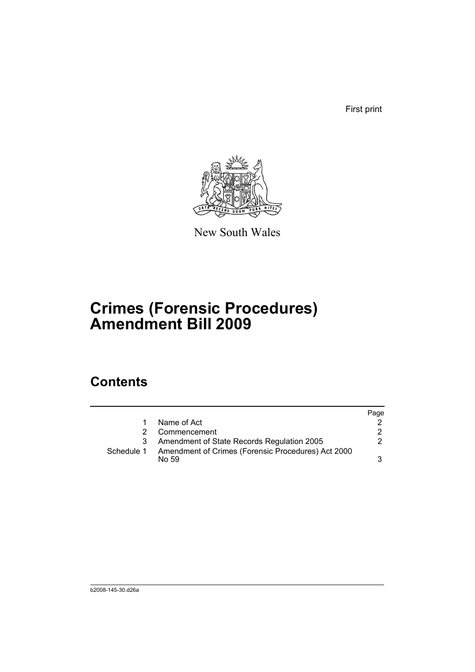First print



New South Wales

# **Crimes (Forensic Procedures) Amendment Bill 2009**

## **Contents**

|            |                                                             | Page |
|------------|-------------------------------------------------------------|------|
|            | Name of Act                                                 |      |
|            | Commencement                                                | 2    |
|            | Amendment of State Records Regulation 2005                  | 2    |
| Schedule 1 | Amendment of Crimes (Forensic Procedures) Act 2000<br>No 59 | 3    |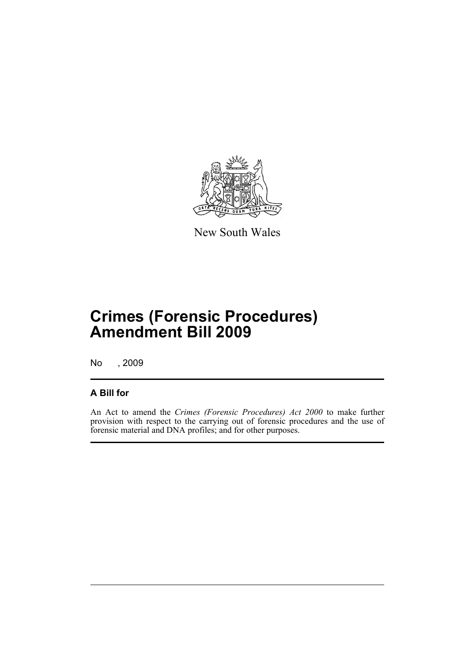

New South Wales

# **Crimes (Forensic Procedures) Amendment Bill 2009**

No , 2009

## **A Bill for**

An Act to amend the *Crimes (Forensic Procedures) Act 2000* to make further provision with respect to the carrying out of forensic procedures and the use of forensic material and DNA profiles; and for other purposes.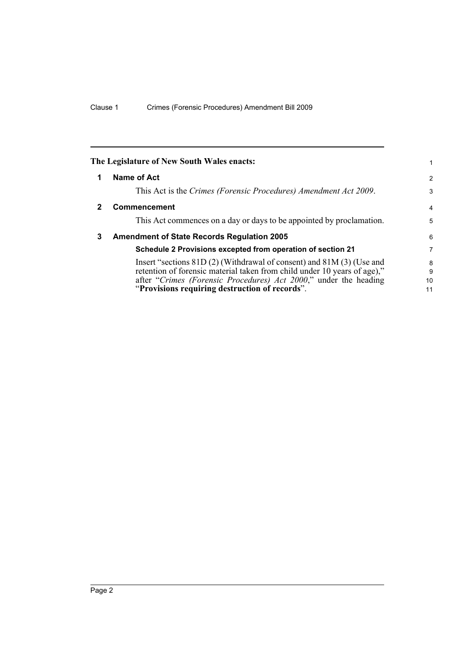<span id="page-7-2"></span><span id="page-7-1"></span><span id="page-7-0"></span>

|              | The Legislature of New South Wales enacts:                                                                                                                                                                                                                                |                    |
|--------------|---------------------------------------------------------------------------------------------------------------------------------------------------------------------------------------------------------------------------------------------------------------------------|--------------------|
|              | Name of Act                                                                                                                                                                                                                                                               | $\overline{2}$     |
|              | This Act is the Crimes (Forensic Procedures) Amendment Act 2009.                                                                                                                                                                                                          | 3                  |
| $\mathbf{2}$ | <b>Commencement</b>                                                                                                                                                                                                                                                       | $\overline{4}$     |
|              | This Act commences on a day or days to be appointed by proclamation.                                                                                                                                                                                                      | 5                  |
| 3            | <b>Amendment of State Records Regulation 2005</b>                                                                                                                                                                                                                         | 6                  |
|              | Schedule 2 Provisions excepted from operation of section 21                                                                                                                                                                                                               | 7                  |
|              | Insert "sections $81D(2)$ (Withdrawal of consent) and $81M(3)$ (Use and<br>retention of forensic material taken from child under 10 years of age),"<br>after "Crimes (Forensic Procedures) Act 2000," under the heading<br>"Provisions requiring destruction of records". | 8<br>9<br>10<br>11 |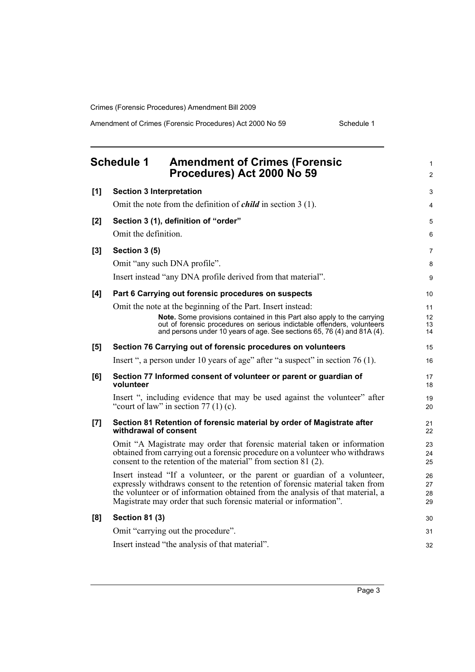<span id="page-8-0"></span>

|       | <b>Schedule 1</b><br><b>Amendment of Crimes (Forensic</b><br>Procedures) Act 2000 No 59                                                                                                                                                                                                                          | 1<br>$\overline{c}$  |
|-------|------------------------------------------------------------------------------------------------------------------------------------------------------------------------------------------------------------------------------------------------------------------------------------------------------------------|----------------------|
| [1]   | <b>Section 3 Interpretation</b>                                                                                                                                                                                                                                                                                  | 3                    |
|       | Omit the note from the definition of <i>child</i> in section $3(1)$ .                                                                                                                                                                                                                                            | 4                    |
| [2]   | Section 3 (1), definition of "order"                                                                                                                                                                                                                                                                             | 5                    |
|       | Omit the definition.                                                                                                                                                                                                                                                                                             | 6                    |
| $[3]$ | Section 3 (5)                                                                                                                                                                                                                                                                                                    | 7                    |
|       | Omit "any such DNA profile".                                                                                                                                                                                                                                                                                     | 8                    |
|       | Insert instead "any DNA profile derived from that material".                                                                                                                                                                                                                                                     | 9                    |
| [4]   | Part 6 Carrying out forensic procedures on suspects                                                                                                                                                                                                                                                              | 10                   |
|       | Omit the note at the beginning of the Part. Insert instead:                                                                                                                                                                                                                                                      | 11                   |
|       | Note. Some provisions contained in this Part also apply to the carrying<br>out of forensic procedures on serious indictable offenders, volunteers                                                                                                                                                                | 12                   |
|       | and persons under 10 years of age. See sections 65, 76 (4) and 81A (4).                                                                                                                                                                                                                                          | 13<br>14             |
| [5]   | Section 76 Carrying out of forensic procedures on volunteers                                                                                                                                                                                                                                                     | 15                   |
|       | Insert ", a person under 10 years of age" after "a suspect" in section 76 (1).                                                                                                                                                                                                                                   | 16                   |
| [6]   | Section 77 Informed consent of volunteer or parent or guardian of<br>volunteer                                                                                                                                                                                                                                   | 17<br>18             |
|       | Insert ", including evidence that may be used against the volunteer" after<br>"court of law" in section $77(1)(c)$ .                                                                                                                                                                                             | 19<br>20             |
| [7]   | Section 81 Retention of forensic material by order of Magistrate after<br>withdrawal of consent                                                                                                                                                                                                                  | 21<br>22             |
|       | Omit "A Magistrate may order that forensic material taken or information<br>obtained from carrying out a forensic procedure on a volunteer who withdraws<br>consent to the retention of the material" from section 81 (2).                                                                                       | 23<br>24<br>25       |
|       | Insert instead "If a volunteer, or the parent or guardian of a volunteer,<br>expressly withdraws consent to the retention of forensic material taken from<br>the volunteer or of information obtained from the analysis of that material, a<br>Magistrate may order that such forensic material or information". | 26<br>27<br>28<br>29 |
| [8]   | <b>Section 81 (3)</b>                                                                                                                                                                                                                                                                                            | 30                   |
|       | Omit "carrying out the procedure".                                                                                                                                                                                                                                                                               | 31                   |
|       | Insert instead "the analysis of that material".                                                                                                                                                                                                                                                                  | 32                   |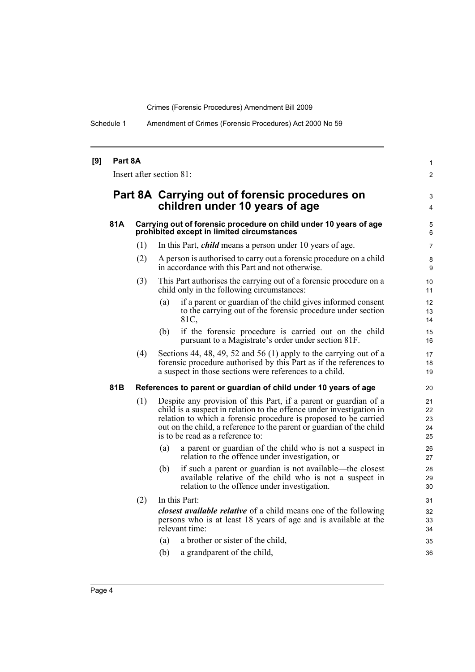Schedule 1 Amendment of Crimes (Forensic Procedures) Act 2000 No 59

| [9] | Part 8A<br>Insert after section 81: |     |                                                                                                                                                                                                                                                                                                                          |                                  |  |
|-----|-------------------------------------|-----|--------------------------------------------------------------------------------------------------------------------------------------------------------------------------------------------------------------------------------------------------------------------------------------------------------------------------|----------------------------------|--|
|     |                                     |     | Part 8A Carrying out of forensic procedures on<br>children under 10 years of age                                                                                                                                                                                                                                         | 3<br>4                           |  |
|     | 81A                                 |     | Carrying out of forensic procedure on child under 10 years of age<br>prohibited except in limited circumstances                                                                                                                                                                                                          |                                  |  |
|     |                                     | (1) | In this Part, <i>child</i> means a person under 10 years of age.                                                                                                                                                                                                                                                         | 7                                |  |
|     |                                     | (2) | A person is authorised to carry out a forensic procedure on a child<br>in accordance with this Part and not otherwise.                                                                                                                                                                                                   | 8<br>9                           |  |
|     |                                     | (3) | This Part authorises the carrying out of a forensic procedure on a<br>child only in the following circumstances:                                                                                                                                                                                                         | 10 <sup>1</sup><br>11            |  |
|     |                                     |     | if a parent or guardian of the child gives informed consent<br>(a)<br>to the carrying out of the forensic procedure under section<br>81C,                                                                                                                                                                                | 12<br>13<br>14                   |  |
|     |                                     |     | if the forensic procedure is carried out on the child<br>(b)<br>pursuant to a Magistrate's order under section 81F.                                                                                                                                                                                                      | 15<br>16                         |  |
|     |                                     | (4) | Sections 44, 48, 49, 52 and 56 (1) apply to the carrying out of a<br>forensic procedure authorised by this Part as if the references to<br>a suspect in those sections were references to a child.                                                                                                                       | 17<br>18<br>19                   |  |
|     | 81B                                 |     | References to parent or guardian of child under 10 years of age                                                                                                                                                                                                                                                          | 20                               |  |
|     |                                     | (1) | Despite any provision of this Part, if a parent or guardian of a<br>child is a suspect in relation to the offence under investigation in<br>relation to which a forensic procedure is proposed to be carried<br>out on the child, a reference to the parent or guardian of the child<br>is to be read as a reference to: | 21<br>22<br>23<br>24<br>25       |  |
|     |                                     |     | a parent or guardian of the child who is not a suspect in<br>(a)<br>relation to the offence under investigation, or                                                                                                                                                                                                      | 26<br>27                         |  |
|     |                                     |     | if such a parent or guardian is not available—the closest<br>(b)<br>available relative of the child who is not a suspect in<br>relation to the offence under investigation.                                                                                                                                              | 28<br>29<br>30                   |  |
|     |                                     | (2) | In this Part:<br><i>closest available relative</i> of a child means one of the following<br>persons who is at least 18 years of age and is available at the<br>relevant time:<br>a brother or sister of the child,<br>(a)<br>a grandparent of the child,<br>(b)                                                          | 31<br>32<br>33<br>34<br>35<br>36 |  |
|     |                                     |     |                                                                                                                                                                                                                                                                                                                          |                                  |  |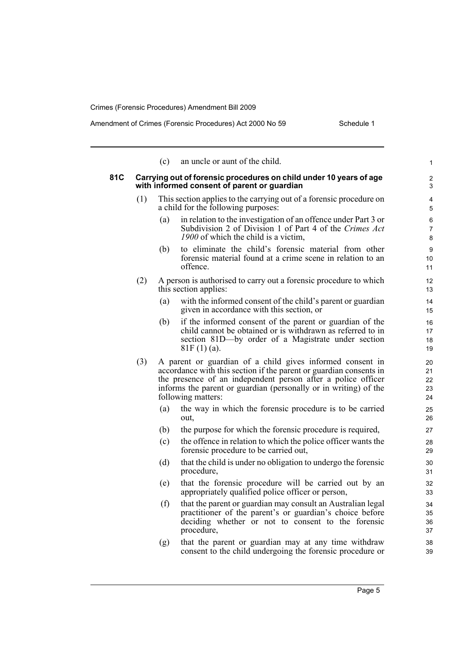| Amendment of Crimes (Forensic Procedures) Act 2000 No 59 | Schedule 1 |
|----------------------------------------------------------|------------|
|----------------------------------------------------------|------------|

|     |                                                                                                                   | (c) | an uncle or aunt of the child.                                                                                                                                                                                                                                                            | $\mathbf{1}$               |  |  |
|-----|-------------------------------------------------------------------------------------------------------------------|-----|-------------------------------------------------------------------------------------------------------------------------------------------------------------------------------------------------------------------------------------------------------------------------------------------|----------------------------|--|--|
| 81C | Carrying out of forensic procedures on child under 10 years of age<br>with informed consent of parent or guardian |     |                                                                                                                                                                                                                                                                                           |                            |  |  |
|     | (1)                                                                                                               |     | This section applies to the carrying out of a forensic procedure on<br>a child for the following purposes:                                                                                                                                                                                | 4<br>5                     |  |  |
|     |                                                                                                                   | (a) | in relation to the investigation of an offence under Part 3 or<br>Subdivision 2 of Division 1 of Part 4 of the Crimes Act<br>1900 of which the child is a victim,                                                                                                                         | 6<br>$\overline{7}$<br>8   |  |  |
|     |                                                                                                                   | (b) | to eliminate the child's forensic material from other<br>forensic material found at a crime scene in relation to an<br>offence.                                                                                                                                                           | 9<br>10<br>11              |  |  |
|     | (2)                                                                                                               |     | A person is authorised to carry out a forensic procedure to which<br>this section applies:                                                                                                                                                                                                | 12<br>13                   |  |  |
|     |                                                                                                                   | (a) | with the informed consent of the child's parent or guardian<br>given in accordance with this section, or                                                                                                                                                                                  | 14<br>15                   |  |  |
|     |                                                                                                                   | (b) | if the informed consent of the parent or guardian of the<br>child cannot be obtained or is withdrawn as referred to in<br>section 81D-by order of a Magistrate under section<br>$81F(1)(a)$ .                                                                                             | 16<br>17<br>18<br>19       |  |  |
|     | (3)                                                                                                               |     | A parent or guardian of a child gives informed consent in<br>accordance with this section if the parent or guardian consents in<br>the presence of an independent person after a police officer<br>informs the parent or guardian (personally or in writing) of the<br>following matters: | 20<br>21<br>22<br>23<br>24 |  |  |
|     |                                                                                                                   | (a) | the way in which the forensic procedure is to be carried<br>out,                                                                                                                                                                                                                          | 25<br>26                   |  |  |
|     |                                                                                                                   | (b) | the purpose for which the forensic procedure is required,                                                                                                                                                                                                                                 | 27                         |  |  |
|     |                                                                                                                   | (c) | the offence in relation to which the police officer wants the<br>forensic procedure to be carried out,                                                                                                                                                                                    | 28<br>29                   |  |  |
|     |                                                                                                                   | (d) | that the child is under no obligation to undergo the forensic<br>procedure,                                                                                                                                                                                                               | 30<br>31                   |  |  |
|     |                                                                                                                   | (e) | that the forensic procedure will be carried out by an<br>appropriately qualified police officer or person,                                                                                                                                                                                | 32<br>33                   |  |  |
|     |                                                                                                                   | (f) | that the parent or guardian may consult an Australian legal<br>practitioner of the parent's or guardian's choice before<br>deciding whether or not to consent to the forensic<br>procedure,                                                                                               | 34<br>35<br>36<br>37       |  |  |
|     |                                                                                                                   | (g) | that the parent or guardian may at any time withdraw<br>consent to the child undergoing the forensic procedure or                                                                                                                                                                         | 38<br>39                   |  |  |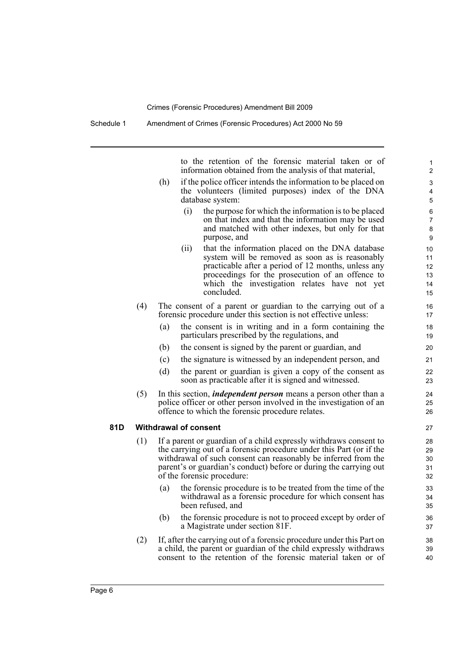to the retention of the forensic material taken or of information obtained from the analysis of that material,

- (h) if the police officer intends the information to be placed on the volunteers (limited purposes) index of the DNA database system:
	- (i) the purpose for which the information is to be placed on that index and that the information may be used and matched with other indexes, but only for that purpose, and
	- (ii) that the information placed on the DNA database system will be removed as soon as is reasonably practicable after a period of 12 months, unless any proceedings for the prosecution of an offence to which the investigation relates have not yet concluded.
- (4) The consent of a parent or guardian to the carrying out of a forensic procedure under this section is not effective unless:
	- (a) the consent is in writing and in a form containing the particulars prescribed by the regulations, and
	- (b) the consent is signed by the parent or guardian, and
	- (c) the signature is witnessed by an independent person, and
	- (d) the parent or guardian is given a copy of the consent as soon as practicable after it is signed and witnessed.
- (5) In this section, *independent person* means a person other than a police officer or other person involved in the investigation of an offence to which the forensic procedure relates.

#### **81D Withdrawal of consent**

- (1) If a parent or guardian of a child expressly withdraws consent to the carrying out of a forensic procedure under this Part (or if the withdrawal of such consent can reasonably be inferred from the parent's or guardian's conduct) before or during the carrying out of the forensic procedure:
	- (a) the forensic procedure is to be treated from the time of the withdrawal as a forensic procedure for which consent has been refused, and
	- (b) the forensic procedure is not to proceed except by order of a Magistrate under section 81F.
- (2) If, after the carrying out of a forensic procedure under this Part on a child, the parent or guardian of the child expressly withdraws consent to the retention of the forensic material taken or of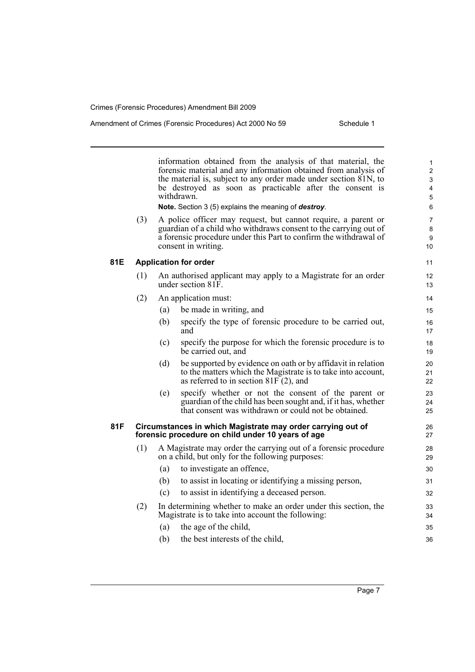information obtained from the analysis of that material, the forensic material and any information obtained from analysis of the material is, subject to any order made under section 81N, to be destroyed as soon as practicable after the consent is withdrawn. **Note.** Section 3 (5) explains the meaning of *destroy*. (3) A police officer may request, but cannot require, a parent or guardian of a child who withdraws consent to the carrying out of a forensic procedure under this Part to confirm the withdrawal of consent in writing. **81E Application for order** (1) An authorised applicant may apply to a Magistrate for an order under section 81F. (2) An application must: (a) be made in writing, and (b) specify the type of forensic procedure to be carried out, and (c) specify the purpose for which the forensic procedure is to be carried out, and (d) be supported by evidence on oath or by affidavit in relation to the matters which the Magistrate is to take into account, as referred to in section  $81F(2)$ , and (e) specify whether or not the consent of the parent or guardian of the child has been sought and, if it has, whether that consent was withdrawn or could not be obtained. **81F Circumstances in which Magistrate may order carrying out of forensic procedure on child under 10 years of age** (1) A Magistrate may order the carrying out of a forensic procedure on a child, but only for the following purposes: (a) to investigate an offence, (b) to assist in locating or identifying a missing person, (c) to assist in identifying a deceased person. (2) In determining whether to make an order under this section, the Magistrate is to take into account the following: (a) the age of the child, (b) the best interests of the child, 1 2 3 4 5 6 7 8 **9** 10 11 12 13 14 15 16 17 18 19 20 21  $22$ 23 24 25 26 27 28 29 30 31 32 33 34 35 36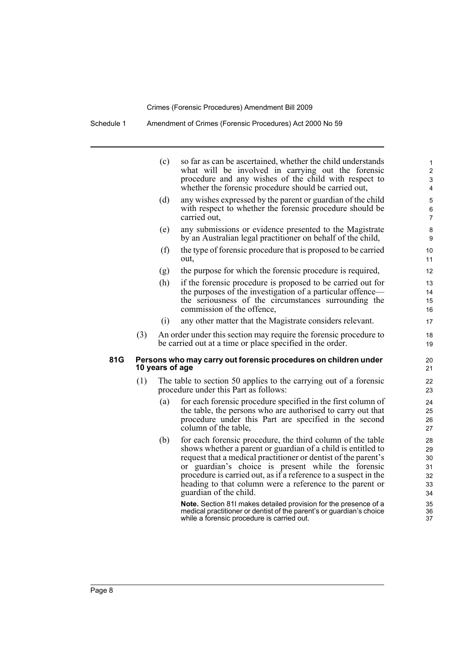Schedule 1 Amendment of Crimes (Forensic Procedures) Act 2000 No 59

|     |     | (c)             | so far as can be ascertained, whether the child understands<br>what will be involved in carrying out the forensic<br>procedure and any wishes of the child with respect to<br>whether the forensic procedure should be carried out,                                                                                                                                                                         | 1<br>$\overline{c}$<br>3<br>4              |
|-----|-----|-----------------|-------------------------------------------------------------------------------------------------------------------------------------------------------------------------------------------------------------------------------------------------------------------------------------------------------------------------------------------------------------------------------------------------------------|--------------------------------------------|
|     |     | (d)             | any wishes expressed by the parent or guardian of the child<br>with respect to whether the forensic procedure should be<br>carried out,                                                                                                                                                                                                                                                                     | 5<br>6<br>$\overline{7}$                   |
|     |     | (e)             | any submissions or evidence presented to the Magistrate<br>by an Australian legal practitioner on behalf of the child,                                                                                                                                                                                                                                                                                      | 8<br>9                                     |
|     |     | (f)             | the type of forensic procedure that is proposed to be carried<br>out,                                                                                                                                                                                                                                                                                                                                       | 10<br>11                                   |
|     |     | (g)             | the purpose for which the forensic procedure is required,                                                                                                                                                                                                                                                                                                                                                   | 12                                         |
|     |     | (h)             | if the forensic procedure is proposed to be carried out for<br>the purposes of the investigation of a particular offence—<br>the seriousness of the circumstances surrounding the<br>commission of the offence.                                                                                                                                                                                             | 13<br>14<br>15<br>16                       |
|     |     | (i)             | any other matter that the Magistrate considers relevant.                                                                                                                                                                                                                                                                                                                                                    | 17                                         |
|     | (3) |                 | An order under this section may require the forensic procedure to<br>be carried out at a time or place specified in the order.                                                                                                                                                                                                                                                                              | 18<br>19                                   |
| 81G |     | 10 years of age | Persons who may carry out forensic procedures on children under                                                                                                                                                                                                                                                                                                                                             | 20<br>21                                   |
|     | (1) |                 | The table to section 50 applies to the carrying out of a forensic<br>procedure under this Part as follows:                                                                                                                                                                                                                                                                                                  | 22<br>23                                   |
|     |     | (a)             | for each forensic procedure specified in the first column of<br>the table, the persons who are authorised to carry out that<br>procedure under this Part are specified in the second<br>column of the table,                                                                                                                                                                                                | 24<br>25<br>26<br>27                       |
|     |     | (b)             | for each forensic procedure, the third column of the table<br>shows whether a parent or guardian of a child is entitled to<br>request that a medical practitioner or dentist of the parent's<br>or guardian's choice is present while the forensic<br>procedure is carried out, as if a reference to a suspect in the<br>heading to that column were a reference to the parent or<br>guardian of the child. | 28<br>29<br>$30\,$<br>31<br>32<br>33<br>34 |
|     |     |                 | Note. Section 81I makes detailed provision for the presence of a<br>medical practitioner or dentist of the parent's or guardian's choice                                                                                                                                                                                                                                                                    | 35<br>36                                   |

while a forensic procedure is carried out.

37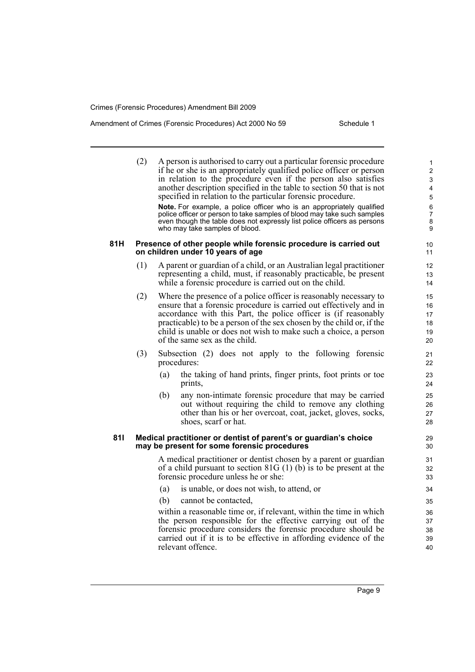### Amendment of Crimes (Forensic Procedures) Act 2000 No 59 Schedule 1

| 81H | (2) |     | A person is authorised to carry out a particular forensic procedure<br>if he or she is an appropriately qualified police officer or person<br>in relation to the procedure even if the person also satisfies<br>another description specified in the table to section 50 that is not<br>specified in relation to the particular forensic procedure.<br>Note. For example, a police officer who is an appropriately qualified<br>police officer or person to take samples of blood may take such samples<br>even though the table does not expressly list police officers as persons<br>who may take samples of blood.<br>Presence of other people while forensic procedure is carried out |
|-----|-----|-----|-------------------------------------------------------------------------------------------------------------------------------------------------------------------------------------------------------------------------------------------------------------------------------------------------------------------------------------------------------------------------------------------------------------------------------------------------------------------------------------------------------------------------------------------------------------------------------------------------------------------------------------------------------------------------------------------|
|     |     |     | on children under 10 years of age                                                                                                                                                                                                                                                                                                                                                                                                                                                                                                                                                                                                                                                         |
|     | (1) |     | A parent or guardian of a child, or an Australian legal practitioner<br>representing a child, must, if reasonably practicable, be present<br>while a forensic procedure is carried out on the child.                                                                                                                                                                                                                                                                                                                                                                                                                                                                                      |
|     | (2) |     | Where the presence of a police officer is reasonably necessary to<br>ensure that a forensic procedure is carried out effectively and in<br>accordance with this Part, the police officer is (if reasonably<br>practicable) to be a person of the sex chosen by the child or, if the<br>child is unable or does not wish to make such a choice, a person<br>of the same sex as the child.                                                                                                                                                                                                                                                                                                  |
|     | (3) |     | Subsection (2) does not apply to the following forensic<br>procedures:                                                                                                                                                                                                                                                                                                                                                                                                                                                                                                                                                                                                                    |
|     |     | (a) | the taking of hand prints, finger prints, foot prints or toe<br>prints,                                                                                                                                                                                                                                                                                                                                                                                                                                                                                                                                                                                                                   |
|     |     | (b) | any non-intimate forensic procedure that may be carried<br>out without requiring the child to remove any clothing<br>other than his or her overcoat, coat, jacket, gloves, socks,<br>shoes, scarf or hat.                                                                                                                                                                                                                                                                                                                                                                                                                                                                                 |
| 811 |     |     | Medical practitioner or dentist of parent's or guardian's choice<br>may be present for some forensic procedures                                                                                                                                                                                                                                                                                                                                                                                                                                                                                                                                                                           |
|     |     |     | A medical practitioner or dentist chosen by a parent or guardian<br>of a child pursuant to section $81G(1)$ (b) is to be present at the<br>forensic procedure unless he or she:                                                                                                                                                                                                                                                                                                                                                                                                                                                                                                           |
|     |     | (a) | is unable, or does not wish, to attend, or                                                                                                                                                                                                                                                                                                                                                                                                                                                                                                                                                                                                                                                |
|     |     | (b) | cannot be contacted,                                                                                                                                                                                                                                                                                                                                                                                                                                                                                                                                                                                                                                                                      |
|     |     |     | within a reasonable time or, if relevant, within the time in which<br>the person responsible for the effective carrying out of the<br>forensic procedure considers the forensic procedure should be<br>carried out if it is to be effective in affording evidence of the<br>relevant offence.                                                                                                                                                                                                                                                                                                                                                                                             |
|     |     |     |                                                                                                                                                                                                                                                                                                                                                                                                                                                                                                                                                                                                                                                                                           |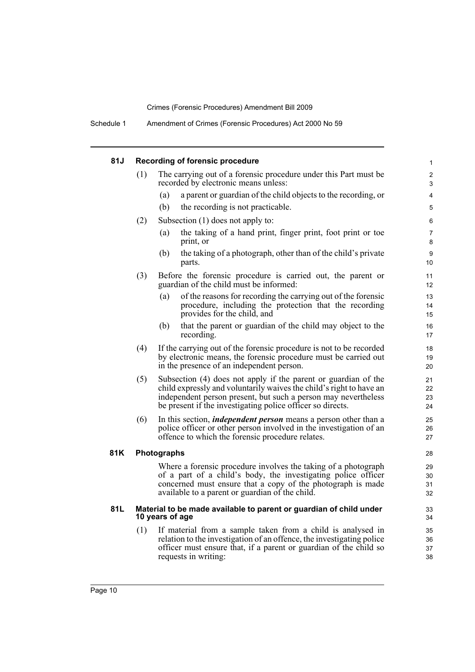Schedule 1 Amendment of Crimes (Forensic Procedures) Act 2000 No 59

## **81J Recording of forensic procedure**

| 81J | Recording of forensic procedure |                                                                                                                                                                                                                                                                       |                      |  |  |  |
|-----|---------------------------------|-----------------------------------------------------------------------------------------------------------------------------------------------------------------------------------------------------------------------------------------------------------------------|----------------------|--|--|--|
|     | (1)                             | The carrying out of a forensic procedure under this Part must be<br>recorded by electronic means unless:                                                                                                                                                              | 2<br>3               |  |  |  |
|     |                                 | a parent or guardian of the child objects to the recording, or<br>(a)                                                                                                                                                                                                 | 4                    |  |  |  |
|     |                                 | (b)<br>the recording is not practicable.                                                                                                                                                                                                                              | 5                    |  |  |  |
|     | (2)                             | Subsection $(1)$ does not apply to:                                                                                                                                                                                                                                   | 6                    |  |  |  |
|     |                                 | the taking of a hand print, finger print, foot print or toe<br>(a)<br>print, or                                                                                                                                                                                       | $\overline{7}$<br>8  |  |  |  |
|     |                                 | the taking of a photograph, other than of the child's private<br>(b)<br>parts.                                                                                                                                                                                        | 9<br>10              |  |  |  |
|     | (3)                             | Before the forensic procedure is carried out, the parent or<br>guardian of the child must be informed:                                                                                                                                                                | 11<br>12             |  |  |  |
|     |                                 | (a)<br>of the reasons for recording the carrying out of the forensic<br>procedure, including the protection that the recording<br>provides for the child, and                                                                                                         | 13<br>14<br>15       |  |  |  |
|     |                                 | that the parent or guardian of the child may object to the<br>(b)<br>recording.                                                                                                                                                                                       | 16<br>17             |  |  |  |
|     | (4)                             | If the carrying out of the forensic procedure is not to be recorded<br>by electronic means, the forensic procedure must be carried out<br>in the presence of an independent person.                                                                                   | 18<br>19<br>20       |  |  |  |
|     | (5)                             | Subsection (4) does not apply if the parent or guardian of the<br>child expressly and voluntarily waives the child's right to have an<br>independent person present, but such a person may nevertheless<br>be present if the investigating police officer so directs. | 21<br>22<br>23<br>24 |  |  |  |
|     | (6)                             | In this section, <i>independent person</i> means a person other than a<br>police officer or other person involved in the investigation of an<br>offence to which the forensic procedure relates.                                                                      | 25<br>26<br>27       |  |  |  |
| 81K |                                 | Photographs                                                                                                                                                                                                                                                           | 28                   |  |  |  |
|     |                                 | Where a forensic procedure involves the taking of a photograph<br>of a part of a child's body, the investigating police officer<br>concerned must ensure that a copy of the photograph is made<br>available to a parent or guardian of the child.                     | 29<br>30<br>31<br>32 |  |  |  |
| 81L |                                 | Material to be made available to parent or guardian of child under<br>10 years of age                                                                                                                                                                                 | 33<br>34             |  |  |  |
|     | (1)                             | If material from a sample taken from a child is analysed in<br>relation to the investigation of an offence, the investigating police<br>officer must ensure that, if a parent or guardian of the child so<br>requests in writing:                                     | 35<br>36<br>37<br>38 |  |  |  |
|     |                                 |                                                                                                                                                                                                                                                                       |                      |  |  |  |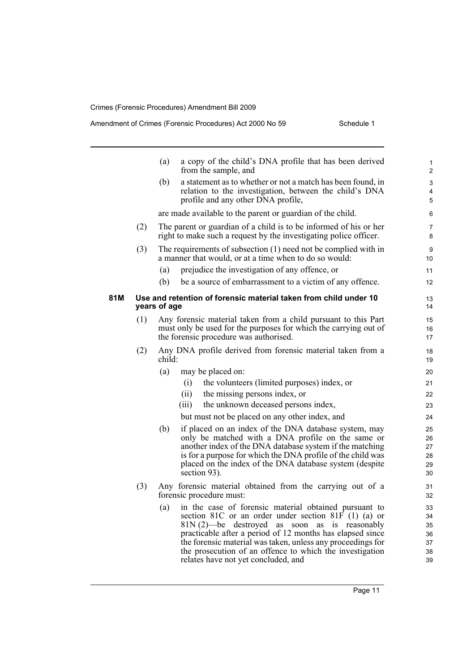|     |     | a copy of the child's DNA profile that has been derived<br>(a)<br>from the sample, and                                                                                                                                                                                                                                                                                                                       | 1<br>$\overline{c}$                    |
|-----|-----|--------------------------------------------------------------------------------------------------------------------------------------------------------------------------------------------------------------------------------------------------------------------------------------------------------------------------------------------------------------------------------------------------------------|----------------------------------------|
|     |     | a statement as to whether or not a match has been found, in<br>(b)<br>relation to the investigation, between the child's DNA<br>profile and any other DNA profile,                                                                                                                                                                                                                                           | 3<br>4<br>5                            |
|     |     | are made available to the parent or guardian of the child.                                                                                                                                                                                                                                                                                                                                                   | 6                                      |
|     | (2) | The parent or guardian of a child is to be informed of his or her<br>right to make such a request by the investigating police officer.                                                                                                                                                                                                                                                                       | $\overline{7}$<br>8                    |
|     | (3) | The requirements of subsection $(1)$ need not be complied with in<br>a manner that would, or at a time when to do so would:                                                                                                                                                                                                                                                                                  | 9<br>10                                |
|     |     | prejudice the investigation of any offence, or<br>(a)                                                                                                                                                                                                                                                                                                                                                        | 11                                     |
|     |     | (b)<br>be a source of embarrassment to a victim of any offence.                                                                                                                                                                                                                                                                                                                                              | 12                                     |
| 81M |     | Use and retention of forensic material taken from child under 10<br>years of age                                                                                                                                                                                                                                                                                                                             | 13<br>14                               |
|     | (1) | Any forensic material taken from a child pursuant to this Part<br>must only be used for the purposes for which the carrying out of<br>the forensic procedure was authorised.                                                                                                                                                                                                                                 | 15<br>16<br>17                         |
|     | (2) | Any DNA profile derived from forensic material taken from a<br>child:                                                                                                                                                                                                                                                                                                                                        | 18<br>19                               |
|     |     | (a)<br>may be placed on:                                                                                                                                                                                                                                                                                                                                                                                     | 20                                     |
|     |     | (i)<br>the volunteers (limited purposes) index, or                                                                                                                                                                                                                                                                                                                                                           | 21                                     |
|     |     | (ii)<br>the missing persons index, or                                                                                                                                                                                                                                                                                                                                                                        | 22                                     |
|     |     | the unknown deceased persons index,<br>(iii)                                                                                                                                                                                                                                                                                                                                                                 | 23                                     |
|     |     | but must not be placed on any other index, and                                                                                                                                                                                                                                                                                                                                                               | 24                                     |
|     |     | if placed on an index of the DNA database system, may<br>(b)<br>only be matched with a DNA profile on the same or<br>another index of the DNA database system if the matching<br>is for a purpose for which the DNA profile of the child was<br>placed on the index of the DNA database system (despite<br>section 93).                                                                                      | 25<br>26<br>27<br>28<br>29<br>30       |
|     | (3) | Any forensic material obtained from the carrying out of a<br>forensic procedure must:                                                                                                                                                                                                                                                                                                                        | 31<br>32                               |
|     |     | in the case of forensic material obtained pursuant to<br>(a)<br>section 81C or an order under section 81 $\vec{F}$ (1) (a) or<br>81N(2)—be destroyed as soon as is reasonably<br>practicable after a period of 12 months has elapsed since<br>the forensic material was taken, unless any proceedings for<br>the prosecution of an offence to which the investigation<br>relates have not yet concluded, and | 33<br>34<br>35<br>36<br>37<br>38<br>39 |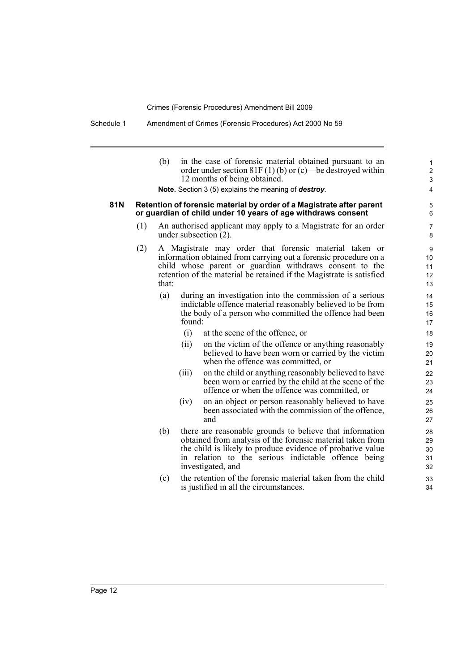| 81N |     | (b)   |        | in the case of forensic material obtained pursuant to an<br>order under section $81F(1)$ (b) or (c)—be destroyed within<br>12 months of being obtained.<br>Note. Section 3 (5) explains the meaning of destroy.<br>Retention of forensic material by order of a Magistrate after parent<br>or guardian of child under 10 years of age withdraws consent | $\mathbf{1}$<br>$\overline{c}$<br>3<br>4<br>5<br>6 |
|-----|-----|-------|--------|---------------------------------------------------------------------------------------------------------------------------------------------------------------------------------------------------------------------------------------------------------------------------------------------------------------------------------------------------------|----------------------------------------------------|
|     | (1) |       |        | An authorised applicant may apply to a Magistrate for an order<br>under subsection $(2)$ .                                                                                                                                                                                                                                                              | 7<br>8                                             |
|     | (2) | that: |        | A Magistrate may order that forensic material taken or<br>information obtained from carrying out a forensic procedure on a<br>child whose parent or guardian withdraws consent to the<br>retention of the material be retained if the Magistrate is satisfied                                                                                           | 9<br>10<br>11<br>12<br>13                          |
|     |     | (a)   | found: | during an investigation into the commission of a serious<br>indictable offence material reasonably believed to be from<br>the body of a person who committed the offence had been                                                                                                                                                                       | 14<br>15<br>16<br>17                               |
|     |     |       | (i)    | at the scene of the offence, or                                                                                                                                                                                                                                                                                                                         | 18                                                 |
|     |     |       | (ii)   | on the victim of the offence or anything reasonably<br>believed to have been worn or carried by the victim<br>when the offence was committed, or                                                                                                                                                                                                        | 19<br>20<br>21                                     |
|     |     |       | (iii)  | on the child or anything reasonably believed to have<br>been worn or carried by the child at the scene of the<br>offence or when the offence was committed, or                                                                                                                                                                                          | 22<br>23<br>24                                     |
|     |     |       | (iv)   | on an object or person reasonably believed to have<br>been associated with the commission of the offence,<br>and                                                                                                                                                                                                                                        | 25<br>26<br>27                                     |
|     |     | (b)   |        | there are reasonable grounds to believe that information<br>obtained from analysis of the forensic material taken from<br>the child is likely to produce evidence of probative value<br>in relation to the serious indictable offence being<br>investigated, and                                                                                        | 28<br>29<br>30<br>31<br>32                         |
|     |     | (c)   |        | the retention of the forensic material taken from the child<br>is justified in all the circumstances.                                                                                                                                                                                                                                                   | 33<br>34                                           |
|     |     |       |        |                                                                                                                                                                                                                                                                                                                                                         |                                                    |

Page 12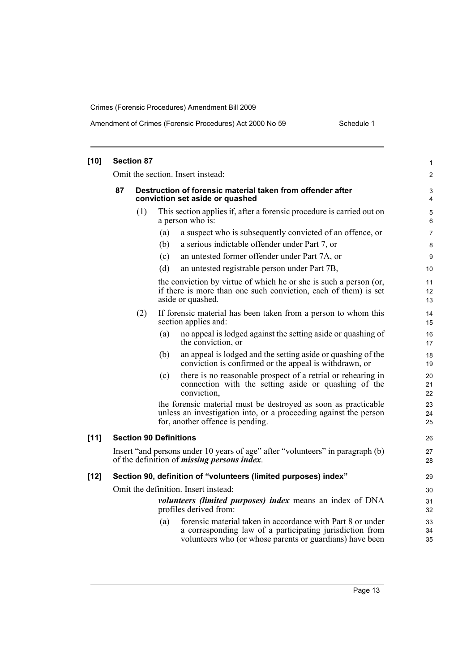| $[10]$ | <b>Section 87</b>                                                                                                                     |     |     |                                                                                                                                                                                    |                |  |
|--------|---------------------------------------------------------------------------------------------------------------------------------------|-----|-----|------------------------------------------------------------------------------------------------------------------------------------------------------------------------------------|----------------|--|
|        |                                                                                                                                       |     |     | Omit the section. Insert instead:                                                                                                                                                  | $\overline{2}$ |  |
|        | 87<br>Destruction of forensic material taken from offender after<br>conviction set aside or quashed                                   |     |     |                                                                                                                                                                                    |                |  |
|        |                                                                                                                                       | (1) |     | This section applies if, after a forensic procedure is carried out on<br>a person who is:                                                                                          | 5<br>6         |  |
|        |                                                                                                                                       |     | (a) | a suspect who is subsequently convicted of an offence, or                                                                                                                          | $\overline{7}$ |  |
|        |                                                                                                                                       |     | (b) | a serious indictable offender under Part 7, or                                                                                                                                     | 8              |  |
|        |                                                                                                                                       |     | (c) | an untested former offender under Part 7A, or                                                                                                                                      | 9              |  |
|        |                                                                                                                                       |     | (d) | an untested registrable person under Part 7B,                                                                                                                                      | 10             |  |
|        |                                                                                                                                       |     |     | the conviction by virtue of which he or she is such a person (or,<br>if there is more than one such conviction, each of them) is set<br>aside or quashed.                          | 11<br>12<br>13 |  |
|        |                                                                                                                                       | (2) |     | If forensic material has been taken from a person to whom this<br>section applies and:                                                                                             | 14<br>15       |  |
|        |                                                                                                                                       |     | (a) | no appeal is lodged against the setting aside or quashing of<br>the conviction, or                                                                                                 | 16<br>17       |  |
|        |                                                                                                                                       |     | (b) | an appeal is lodged and the setting aside or quashing of the<br>conviction is confirmed or the appeal is withdrawn, or                                                             | 18<br>19       |  |
|        |                                                                                                                                       |     | (c) | there is no reasonable prospect of a retrial or rehearing in<br>connection with the setting aside or quashing of the<br>conviction,                                                | 20<br>21<br>22 |  |
|        |                                                                                                                                       |     |     | the forensic material must be destroyed as soon as practicable<br>unless an investigation into, or a proceeding against the person<br>for, another offence is pending.             | 23<br>24<br>25 |  |
| $[11]$ | <b>Section 90 Definitions</b>                                                                                                         |     |     |                                                                                                                                                                                    | 26             |  |
|        | Insert "and persons under 10 years of age" after "volunteers" in paragraph (b)<br>of the definition of <i>missing persons index</i> . |     |     |                                                                                                                                                                                    |                |  |
| $[12]$ | Section 90, definition of "volunteers (limited purposes) index"                                                                       |     |     |                                                                                                                                                                                    |                |  |
|        |                                                                                                                                       |     |     | Omit the definition. Insert instead:                                                                                                                                               | 30             |  |
|        | volunteers (limited purposes) index means an index of DNA<br>profiles derived from:                                                   |     |     |                                                                                                                                                                                    |                |  |
|        |                                                                                                                                       |     | (a) | forensic material taken in accordance with Part 8 or under<br>a corresponding law of a participating jurisdiction from<br>volunteers who (or whose parents or guardians) have been | 33<br>34<br>35 |  |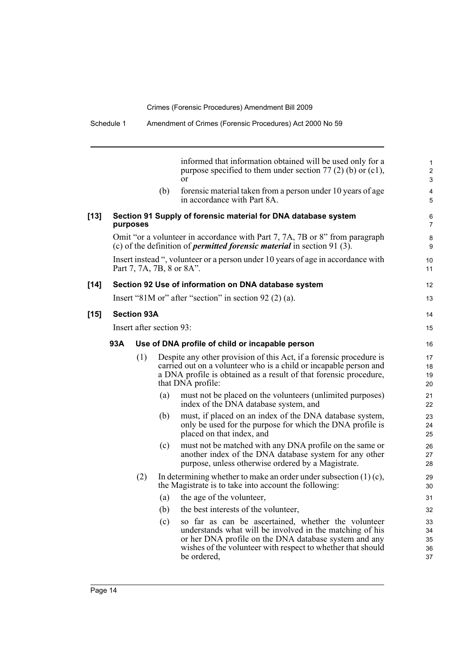|        |                          |                    |     | informed that information obtained will be used only for a<br>purpose specified to them under section 77 (2) (b) or (c1),<br>$\alpha$                                                                                                                  | 1<br>$\overline{c}$<br>3   |  |
|--------|--------------------------|--------------------|-----|--------------------------------------------------------------------------------------------------------------------------------------------------------------------------------------------------------------------------------------------------------|----------------------------|--|
|        |                          |                    | (b) | forensic material taken from a person under 10 years of age<br>in accordance with Part 8A.                                                                                                                                                             | 4<br>5                     |  |
| $[13]$ |                          | purposes           |     | Section 91 Supply of forensic material for DNA database system                                                                                                                                                                                         | 6<br>7                     |  |
|        |                          |                    |     | Omit "or a volunteer in accordance with Part 7, 7A, 7B or 8" from paragraph<br>(c) of the definition of <i>permitted forensic material</i> in section 91 $(3)$ .                                                                                       | 8<br>9                     |  |
|        |                          |                    |     | Insert instead ", volunteer or a person under 10 years of age in accordance with<br>Part 7, 7A, 7B, 8 or 8A".                                                                                                                                          | 10<br>11                   |  |
| [14]   |                          |                    |     | Section 92 Use of information on DNA database system                                                                                                                                                                                                   | 12                         |  |
|        |                          |                    |     | Insert "81M or" after "section" in section $92(2)(a)$ .                                                                                                                                                                                                | 13                         |  |
| $[15]$ |                          | <b>Section 93A</b> |     |                                                                                                                                                                                                                                                        | 14                         |  |
|        | Insert after section 93: |                    |     |                                                                                                                                                                                                                                                        |                            |  |
|        | 93A                      |                    |     | Use of DNA profile of child or incapable person                                                                                                                                                                                                        | 16                         |  |
|        |                          | (1)                |     | Despite any other provision of this Act, if a forensic procedure is<br>carried out on a volunteer who is a child or incapable person and<br>a DNA profile is obtained as a result of that forensic procedure,<br>that DNA profile:                     | 17<br>18<br>19<br>20       |  |
|        |                          |                    | (a) | must not be placed on the volunteers (unlimited purposes)<br>index of the DNA database system, and                                                                                                                                                     | 21<br>22                   |  |
|        |                          |                    | (b) | must, if placed on an index of the DNA database system,<br>only be used for the purpose for which the DNA profile is<br>placed on that index, and                                                                                                      | 23<br>24<br>25             |  |
|        |                          |                    | (c) | must not be matched with any DNA profile on the same or<br>another index of the DNA database system for any other<br>purpose, unless otherwise ordered by a Magistrate.                                                                                | 26<br>27<br>28             |  |
|        |                          | (2)                |     | In determining whether to make an order under subsection $(1)(c)$ ,<br>the Magistrate is to take into account the following:                                                                                                                           | 29<br>30                   |  |
|        |                          |                    | (a) | the age of the volunteer,                                                                                                                                                                                                                              | 31                         |  |
|        |                          |                    | (b) | the best interests of the volunteer,                                                                                                                                                                                                                   | 32                         |  |
|        |                          |                    | (c) | so far as can be ascertained, whether the volunteer<br>understands what will be involved in the matching of his<br>or her DNA profile on the DNA database system and any<br>wishes of the volunteer with respect to whether that should<br>be ordered, | 33<br>34<br>35<br>36<br>37 |  |

 $[15]$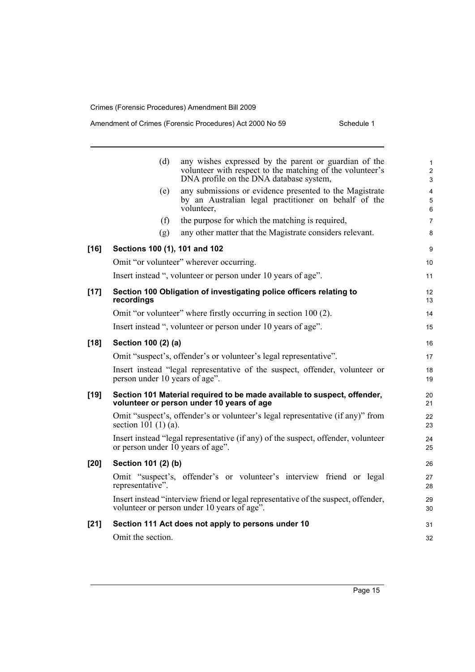|        | (d)                                                                                                                               | any wishes expressed by the parent or guardian of the<br>volunteer with respect to the matching of the volunteer's<br>DNA profile on the DNA database system, | $\mathbf{1}$<br>2<br>3   |  |  |  |
|--------|-----------------------------------------------------------------------------------------------------------------------------------|---------------------------------------------------------------------------------------------------------------------------------------------------------------|--------------------------|--|--|--|
|        | (e)                                                                                                                               | any submissions or evidence presented to the Magistrate<br>by an Australian legal practitioner on behalf of the<br>volunteer,                                 | $\overline{4}$<br>5<br>6 |  |  |  |
|        | (f)                                                                                                                               | the purpose for which the matching is required,                                                                                                               | $\overline{7}$           |  |  |  |
|        | (g)                                                                                                                               | any other matter that the Magistrate considers relevant.                                                                                                      | 8                        |  |  |  |
| $[16]$ | Sections 100 (1), 101 and 102                                                                                                     |                                                                                                                                                               |                          |  |  |  |
|        | Omit "or volunteer" wherever occurring.                                                                                           |                                                                                                                                                               |                          |  |  |  |
|        | Insert instead ", volunteer or person under 10 years of age".                                                                     |                                                                                                                                                               |                          |  |  |  |
| $[17]$ | Section 100 Obligation of investigating police officers relating to<br>recordings                                                 |                                                                                                                                                               |                          |  |  |  |
|        | Omit "or volunteer" where firstly occurring in section 100 (2).                                                                   |                                                                                                                                                               |                          |  |  |  |
|        | Insert instead ", volunteer or person under 10 years of age".                                                                     |                                                                                                                                                               |                          |  |  |  |
| $[18]$ | Section 100 (2) (a)                                                                                                               |                                                                                                                                                               |                          |  |  |  |
|        | Omit "suspect's, offender's or volunteer's legal representative".                                                                 |                                                                                                                                                               |                          |  |  |  |
|        | Insert instead "legal representative of the suspect, offender, volunteer or<br>person under 10 years of age".                     |                                                                                                                                                               |                          |  |  |  |
| $[19]$ | Section 101 Material required to be made available to suspect, offender,<br>volunteer or person under 10 years of age             |                                                                                                                                                               |                          |  |  |  |
|        | section $10\hat{1}$ (1) (a).                                                                                                      | Omit "suspect's, offender's or volunteer's legal representative (if any)" from                                                                                | 22<br>23                 |  |  |  |
|        | or person under 10 years of age".                                                                                                 | Insert instead "legal representative (if any) of the suspect, offender, volunteer                                                                             | 24<br>25                 |  |  |  |
| $[20]$ | Section 101 (2) (b)                                                                                                               |                                                                                                                                                               |                          |  |  |  |
|        | representative".                                                                                                                  | Omit "suspect's, offender's or volunteer's interview friend or legal                                                                                          | 27<br>28                 |  |  |  |
|        | Insert instead "interview friend or legal representative of the suspect, offender,<br>volunteer or person under 10 years of age". |                                                                                                                                                               |                          |  |  |  |
| $[21]$ | Section 111 Act does not apply to persons under 10                                                                                |                                                                                                                                                               |                          |  |  |  |
|        | Omit the section.                                                                                                                 |                                                                                                                                                               |                          |  |  |  |